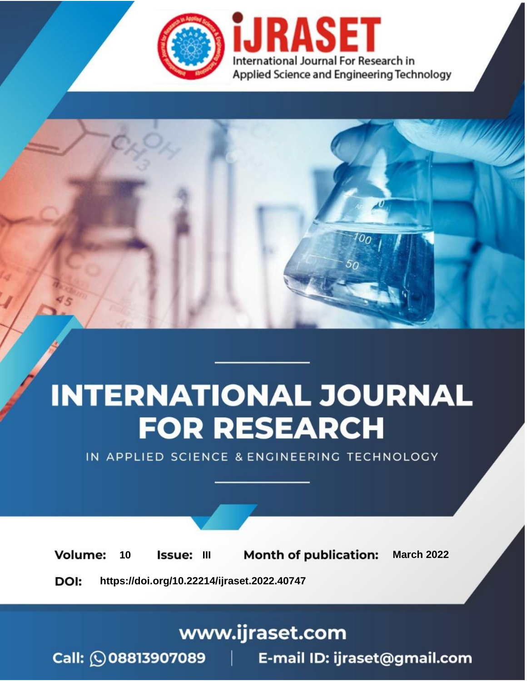

# **INTERNATIONAL JOURNAL FOR RESEARCH**

IN APPLIED SCIENCE & ENGINEERING TECHNOLOGY

**Month of publication: Volume:** 10 Issue: III **March 2022** DOI: https://doi.org/10.22214/ijraset.2022.40747

www.ijraset.com

Call: 008813907089 | E-mail ID: ijraset@gmail.com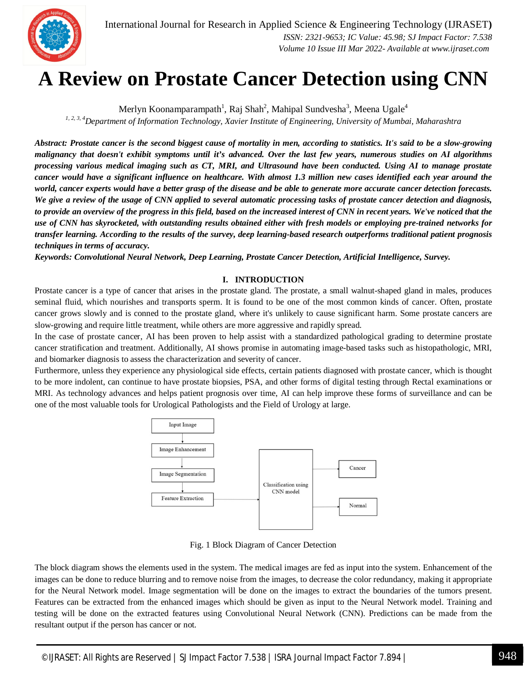

### **A Review on Prostate Cancer Detection using CNN**

Merlyn Koonamparampath<sup>1</sup>, Raj Shah<sup>2</sup>, Mahipal Sundvesha<sup>3</sup>, Meena Ugale<sup>4</sup>

*1, 2, 3, <sup>4</sup>Department of Information Technology, Xavier Institute of Engineering, University of Mumbai, Maharashtra*

*Abstract: Prostate cancer is the second biggest cause of mortality in men, according to statistics. It's said to be a slow-growing malignancy that doesn't exhibit symptoms until it's advanced. Over the last few years, numerous studies on AI algorithms processing various medical imaging such as CT, MRI, and Ultrasound have been conducted. Using AI to manage prostate cancer would have a significant influence on healthcare. With almost 1.3 million new cases identified each year around the world, cancer experts would have a better grasp of the disease and be able to generate more accurate cancer detection forecasts. We give a review of the usage of CNN applied to several automatic processing tasks of prostate cancer detection and diagnosis, to provide an overview of the progress in this field, based on the increased interest of CNN in recent years. We've noticed that the use of CNN has skyrocketed, with outstanding results obtained either with fresh models or employing pre-trained networks for transfer learning. According to the results of the survey, deep learning-based research outperforms traditional patient prognosis techniques in terms of accuracy.*

*Keywords: Convolutional Neural Network, Deep Learning, Prostate Cancer Detection, Artificial Intelligence, Survey.*

#### **I. INTRODUCTION**

Prostate cancer is a type of cancer that arises in the prostate gland. The prostate, a small walnut-shaped gland in males, produces seminal fluid, which nourishes and transports sperm. It is found to be one of the most common kinds of cancer. Often, prostate cancer grows slowly and is conned to the prostate gland, where it's unlikely to cause significant harm. Some prostate cancers are slow-growing and require little treatment, while others are more aggressive and rapidly spread.

In the case of prostate cancer, AI has been proven to help assist with a standardized pathological grading to determine prostate cancer stratification and treatment. Additionally, AI shows promise in automating image-based tasks such as histopathologic, MRI, and biomarker diagnosis to assess the characterization and severity of cancer.

Furthermore, unless they experience any physiological side effects, certain patients diagnosed with prostate cancer, which is thought to be more indolent, can continue to have prostate biopsies, PSA, and other forms of digital testing through Rectal examinations or MRI. As technology advances and helps patient prognosis over time, AI can help improve these forms of surveillance and can be one of the most valuable tools for Urological Pathologists and the Field of Urology at large.



Fig. 1 Block Diagram of Cancer Detection

The block diagram shows the elements used in the system. The medical images are fed as input into the system. Enhancement of the images can be done to reduce blurring and to remove noise from the images, to decrease the color redundancy, making it appropriate for the Neural Network model. Image segmentation will be done on the images to extract the boundaries of the tumors present. Features can be extracted from the enhanced images which should be given as input to the Neural Network model. Training and testing will be done on the extracted features using Convolutional Neural Network (CNN). Predictions can be made from the resultant output if the person has cancer or not.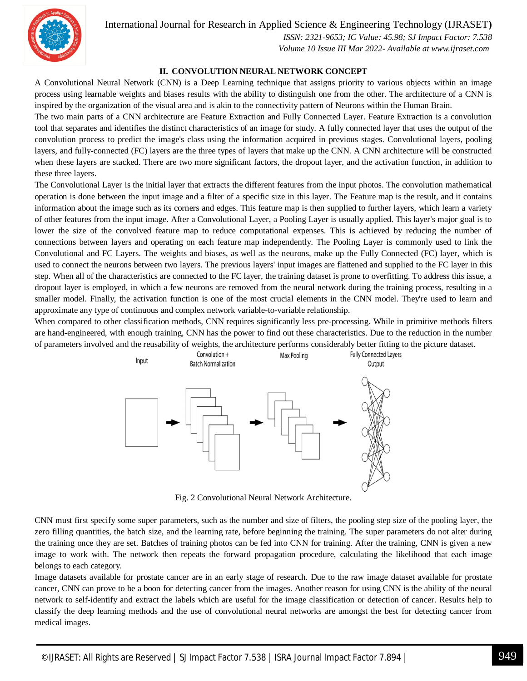International Journal for Research in Applied Science & Engineering Technology (IJRASET**)**



 *ISSN: 2321-9653; IC Value: 45.98; SJ Impact Factor: 7.538 Volume 10 Issue III Mar 2022- Available at www.ijraset.com*

#### **II. CONVOLUTION NEURAL NETWORK CONCEPT**

A Convolutional Neural Network (CNN) is a Deep Learning technique that assigns priority to various objects within an image process using learnable weights and biases results with the ability to distinguish one from the other. The architecture of a CNN is inspired by the organization of the visual area and is akin to the connectivity pattern of Neurons within the Human Brain.

The two main parts of a CNN architecture are Feature Extraction and Fully Connected Layer. Feature Extraction is a convolution tool that separates and identifies the distinct characteristics of an image for study. A fully connected layer that uses the output of the convolution process to predict the image's class using the information acquired in previous stages. Convolutional layers, pooling layers, and fully-connected (FC) layers are the three types of layers that make up the CNN. A CNN architecture will be constructed when these layers are stacked. There are two more significant factors, the dropout layer, and the activation function, in addition to these three layers.

The Convolutional Layer is the initial layer that extracts the different features from the input photos. The convolution mathematical operation is done between the input image and a filter of a specific size in this layer. The Feature map is the result, and it contains information about the image such as its corners and edges. This feature map is then supplied to further layers, which learn a variety of other features from the input image. After a Convolutional Layer, a Pooling Layer is usually applied. This layer's major goal is to lower the size of the convolved feature map to reduce computational expenses. This is achieved by reducing the number of connections between layers and operating on each feature map independently. The Pooling Layer is commonly used to link the Convolutional and FC Layers. The weights and biases, as well as the neurons, make up the Fully Connected (FC) layer, which is used to connect the neurons between two layers. The previous layers' input images are flattened and supplied to the FC layer in this step. When all of the characteristics are connected to the FC layer, the training dataset is prone to overfitting. To address this issue, a dropout layer is employed, in which a few neurons are removed from the neural network during the training process, resulting in a smaller model. Finally, the activation function is one of the most crucial elements in the CNN model. They're used to learn and approximate any type of continuous and complex network variable-to-variable relationship.

When compared to other classification methods, CNN requires significantly less pre-processing. While in primitive methods filters are hand-engineered, with enough training, CNN has the power to find out these characteristics. Due to the reduction in the number of parameters involved and the reusability of weights, the architecture performs considerably better fitting to the picture dataset.



Fig. 2 Convolutional Neural Network Architecture.

CNN must first specify some super parameters, such as the number and size of filters, the pooling step size of the pooling layer, the zero filling quantities, the batch size, and the learning rate, before beginning the training. The super parameters do not alter during the training once they are set. Batches of training photos can be fed into CNN for training. After the training, CNN is given a new image to work with. The network then repeats the forward propagation procedure, calculating the likelihood that each image belongs to each category.

Image datasets available for prostate cancer are in an early stage of research. Due to the raw image dataset available for prostate cancer, CNN can prove to be a boon for detecting cancer from the images. Another reason for using CNN is the ability of the neural network to self-identify and extract the labels which are useful for the image classification or detection of cancer. Results help to classify the deep learning methods and the use of convolutional neural networks are amongst the best for detecting cancer from medical images.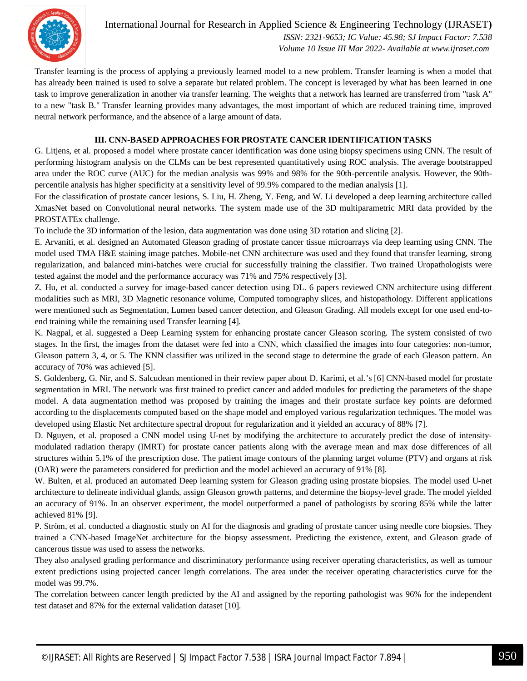

International Journal for Research in Applied Science & Engineering Technology (IJRASET**)**  *ISSN: 2321-9653; IC Value: 45.98; SJ Impact Factor: 7.538 Volume 10 Issue III Mar 2022- Available at www.ijraset.com*

Transfer learning is the process of applying a previously learned model to a new problem. Transfer learning is when a model that has already been trained is used to solve a separate but related problem. The concept is leveraged by what has been learned in one task to improve generalization in another via transfer learning. The weights that a network has learned are transferred from "task A" to a new "task B." Transfer learning provides many advantages, the most important of which are reduced training time, improved neural network performance, and the absence of a large amount of data.

#### **III. CNN-BASED APPROACHES FOR PROSTATE CANCER IDENTIFICATION TASKS**

G. Litjens, et al. proposed a model where prostate cancer identification was done using biopsy specimens using CNN. The result of performing histogram analysis on the CLMs can be best represented quantitatively using ROC analysis. The average bootstrapped area under the ROC curve (AUC) for the median analysis was 99% and 98% for the 90th-percentile analysis. However, the 90thpercentile analysis has higher specificity at a sensitivity level of 99.9% compared to the median analysis [1].

For the classification of prostate cancer lesions, S. Liu, H. Zheng, Y. Feng, and W. Li developed a deep learning architecture called XmasNet based on Convolutional neural networks. The system made use of the 3D multiparametric MRI data provided by the PROSTATEx challenge.

To include the 3D information of the lesion, data augmentation was done using 3D rotation and slicing [2].

E. Arvaniti, et al. designed an Automated Gleason grading of prostate cancer tissue microarrays via deep learning using CNN. The model used TMA H&E staining image patches. Mobile-net CNN architecture was used and they found that transfer learning, strong regularization, and balanced mini-batches were crucial for successfully training the classifier. Two trained Uropathologists were tested against the model and the performance accuracy was 71% and 75% respectively [3].

Z. Hu, et al. conducted a survey for image-based cancer detection using DL. 6 papers reviewed CNN architecture using different modalities such as MRI, 3D Magnetic resonance volume, Computed tomography slices, and histopathology. Different applications were mentioned such as Segmentation, Lumen based cancer detection, and Gleason Grading. All models except for one used end-toend training while the remaining used Transfer learning [4].

K. Nagpal, et al. suggested a Deep Learning system for enhancing prostate cancer Gleason scoring. The system consisted of two stages. In the first, the images from the dataset were fed into a CNN, which classified the images into four categories: non-tumor, Gleason pattern 3, 4, or 5. The KNN classifier was utilized in the second stage to determine the grade of each Gleason pattern. An accuracy of 70% was achieved [5].

S. Goldenberg, G. Nir, and S. Salcudean mentioned in their review paper about D. Karimi, et al.'s [6] CNN-based model for prostate segmentation in MRI. The network was first trained to predict cancer and added modules for predicting the parameters of the shape model. A data augmentation method was proposed by training the images and their prostate surface key points are deformed according to the displacements computed based on the shape model and employed various regularization techniques. The model was developed using Elastic Net architecture spectral dropout for regularization and it yielded an accuracy of 88% [7].

D. Nguyen, et al. proposed a CNN model using U-net by modifying the architecture to accurately predict the dose of intensitymodulated radiation therapy (IMRT) for prostate cancer patients along with the average mean and max dose differences of all structures within 5.1% of the prescription dose. The patient image contours of the planning target volume (PTV) and organs at risk (OAR) were the parameters considered for prediction and the model achieved an accuracy of 91% [8].

W. Bulten, et al. produced an automated Deep learning system for Gleason grading using prostate biopsies. The model used U-net architecture to delineate individual glands, assign Gleason growth patterns, and determine the biopsy-level grade. The model yielded an accuracy of 91%. In an observer experiment, the model outperformed a panel of pathologists by scoring 85% while the latter achieved 81% [9].

P. Ström, et al. conducted a diagnostic study on AI for the diagnosis and grading of prostate cancer using needle core biopsies. They trained a CNN-based ImageNet architecture for the biopsy assessment. Predicting the existence, extent, and Gleason grade of cancerous tissue was used to assess the networks.

They also analysed grading performance and discriminatory performance using receiver operating characteristics, as well as tumour extent predictions using projected cancer length correlations. The area under the receiver operating characteristics curve for the model was 99.7%.

The correlation between cancer length predicted by the AI and assigned by the reporting pathologist was 96% for the independent test dataset and 87% for the external validation dataset [10].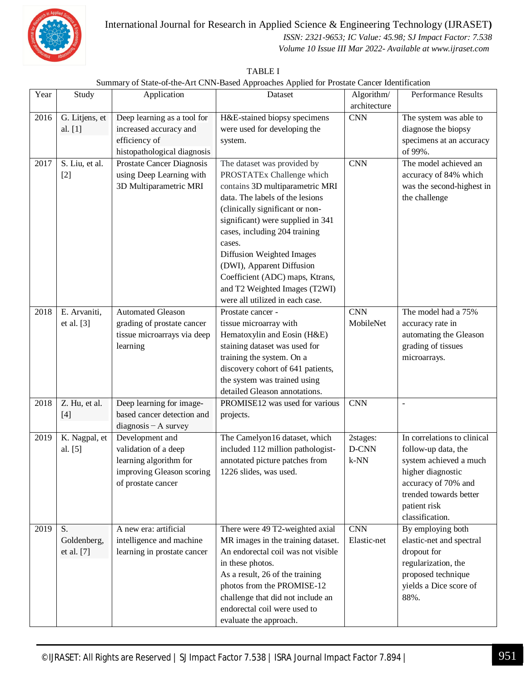

#### International Journal for Research in Applied Science & Engineering Technology (IJRASET**)**

 *ISSN: 2321-9653; IC Value: 45.98; SJ Impact Factor: 7.538*

 *Volume 10 Issue III Mar 2022- Available at www.ijraset.com*

| TABLE I                                                                                     |
|---------------------------------------------------------------------------------------------|
| Summary of State-of-the-Art CNN-Based Approaches Applied for Prostate Cancer Identification |

| Year | Study          | Application                                            | Dataset                            | Algorithm/   | <b>Performance Results</b>  |
|------|----------------|--------------------------------------------------------|------------------------------------|--------------|-----------------------------|
|      |                |                                                        |                                    | architecture |                             |
| 2016 | G. Litjens, et | Deep learning as a tool for                            | H&E-stained biopsy specimens       | <b>CNN</b>   | The system was able to      |
|      | al. [1]        | increased accuracy and                                 | were used for developing the       |              | diagnose the biopsy         |
|      |                | efficiency of                                          | system.                            |              | specimens at an accuracy    |
|      |                | histopathological diagnosis                            |                                    |              | of 99%.                     |
| 2017 | S. Liu, et al. | Prostate Cancer Diagnosis                              | The dataset was provided by        | <b>CNN</b>   | The model achieved an       |
|      | $[2]$          | using Deep Learning with                               | PROSTATEx Challenge which          |              | accuracy of 84% which       |
|      |                | 3D Multiparametric MRI                                 | contains 3D multiparametric MRI    |              | was the second-highest in   |
|      |                |                                                        | data. The labels of the lesions    |              | the challenge               |
|      |                |                                                        | (clinically significant or non-    |              |                             |
|      |                |                                                        | significant) were supplied in 341  |              |                             |
|      |                |                                                        | cases, including 204 training      |              |                             |
|      |                |                                                        | cases.                             |              |                             |
|      |                |                                                        | Diffusion Weighted Images          |              |                             |
|      |                |                                                        | (DWI), Apparent Diffusion          |              |                             |
|      |                |                                                        | Coefficient (ADC) maps, Ktrans,    |              |                             |
|      |                |                                                        | and T2 Weighted Images (T2WI)      |              |                             |
|      |                |                                                        | were all utilized in each case.    |              |                             |
| 2018 | E. Arvaniti,   | <b>Automated Gleason</b>                               | Prostate cancer -                  | <b>CNN</b>   | The model had a 75%         |
|      | et al. [3]     | grading of prostate cancer                             | tissue microarray with             | MobileNet    | accuracy rate in            |
|      |                | tissue microarrays via deep                            | Hematoxylin and Eosin (H&E)        |              | automating the Gleason      |
|      |                | learning                                               | staining dataset was used for      |              | grading of tissues          |
|      |                |                                                        | training the system. On a          |              | microarrays.                |
|      |                |                                                        | discovery cohort of 641 patients,  |              |                             |
|      |                |                                                        | the system was trained using       |              |                             |
|      |                |                                                        | detailed Gleason annotations.      |              |                             |
| 2018 | Z. Hu, et al.  | Deep learning for image-<br>based cancer detection and | PROMISE12 was used for various     | <b>CNN</b>   | $\overline{a}$              |
|      | $[4]$          |                                                        | projects.                          |              |                             |
| 2019 | K. Nagpal, et  | $diagnostic - A survey$<br>Development and             | The Camelyon16 dataset, which      | 2stages:     | In correlations to clinical |
|      | al. [5]        | validation of a deep                                   | included 112 million pathologist-  | D-CNN        | follow-up data, the         |
|      |                | learning algorithm for                                 | annotated picture patches from     | $k-NN$       | system achieved a much      |
|      |                | improving Gleason scoring                              | 1226 slides, was used.             |              | higher diagnostic           |
|      |                | of prostate cancer                                     |                                    |              | accuracy of 70% and         |
|      |                |                                                        |                                    |              | trended towards better      |
|      |                |                                                        |                                    |              | patient risk                |
|      |                |                                                        |                                    |              | classification.             |
| 2019 | S.             | A new era: artificial                                  | There were 49 T2-weighted axial    | <b>CNN</b>   | By employing both           |
|      | Goldenberg,    | intelligence and machine                               | MR images in the training dataset. | Elastic-net  | elastic-net and spectral    |
|      | et al. [7]     | learning in prostate cancer                            | An endorectal coil was not visible |              | dropout for                 |
|      |                |                                                        | in these photos.                   |              | regularization, the         |
|      |                |                                                        | As a result, 26 of the training    |              | proposed technique          |
|      |                |                                                        | photos from the PROMISE-12         |              | yields a Dice score of      |
|      |                |                                                        | challenge that did not include an  |              | 88%.                        |
|      |                |                                                        | endorectal coil were used to       |              |                             |
|      |                |                                                        | evaluate the approach.             |              |                             |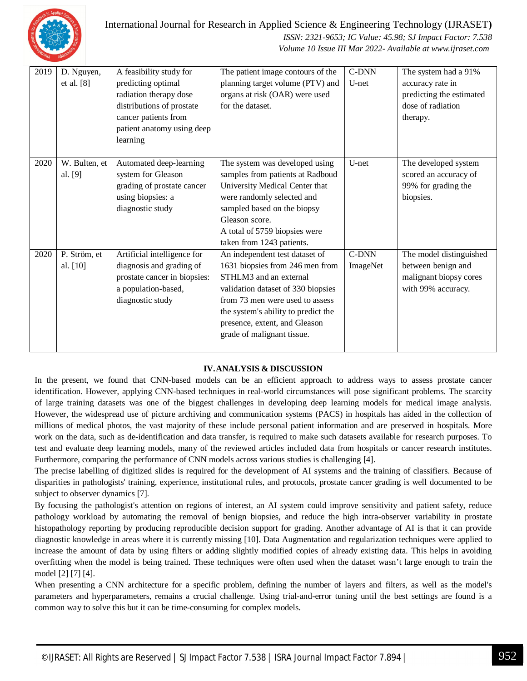

#### International Journal for Research in Applied Science & Engineering Technology (IJRASET**)**

#### *ISSN: 2321-9653; IC Value: 45.98; SJ Impact Factor: 7.538 Volume 10 Issue III Mar 2022- Available at www.ijraset.com*

| 2019 | D. Nguyen,<br>et al. $[8]$ | A feasibility study for<br>predicting optimal<br>radiation therapy dose<br>distributions of prostate<br>cancer patients from<br>patient anatomy using deep<br>learning | The patient image contours of the<br>planning target volume (PTV) and<br>organs at risk (OAR) were used<br>for the dataset.                                                                                                                                                | C-DNN<br>U-net    | The system had a 91%<br>accuracy rate in<br>predicting the estimated<br>dose of radiation<br>therapy. |
|------|----------------------------|------------------------------------------------------------------------------------------------------------------------------------------------------------------------|----------------------------------------------------------------------------------------------------------------------------------------------------------------------------------------------------------------------------------------------------------------------------|-------------------|-------------------------------------------------------------------------------------------------------|
| 2020 | W. Bulten, et<br>al. [9]   | Automated deep-learning<br>system for Gleason<br>grading of prostate cancer<br>using biopsies: a<br>diagnostic study                                                   | The system was developed using<br>samples from patients at Radboud<br>University Medical Center that<br>were randomly selected and<br>sampled based on the biopsy<br>Gleason score.<br>A total of 5759 biopsies were<br>taken from 1243 patients.                          | U-net             | The developed system<br>scored an accuracy of<br>99% for grading the<br>biopsies.                     |
| 2020 | P. Ström, et<br>al. [10]   | Artificial intelligence for<br>diagnosis and grading of<br>prostate cancer in biopsies:<br>a population-based,<br>diagnostic study                                     | An independent test dataset of<br>1631 biopsies from 246 men from<br>STHLM3 and an external<br>validation dataset of 330 biopsies<br>from 73 men were used to assess<br>the system's ability to predict the<br>presence, extent, and Gleason<br>grade of malignant tissue. | C-DNN<br>ImageNet | The model distinguished<br>between benign and<br>malignant biopsy cores<br>with 99% accuracy.         |

#### **IV.ANALYSIS & DISCUSSION**

In the present, we found that CNN-based models can be an efficient approach to address ways to assess prostate cancer identification. However, applying CNN-based techniques in real-world circumstances will pose significant problems. The scarcity of large training datasets was one of the biggest challenges in developing deep learning models for medical image analysis. However, the widespread use of picture archiving and communication systems (PACS) in hospitals has aided in the collection of millions of medical photos, the vast majority of these include personal patient information and are preserved in hospitals. More work on the data, such as de-identification and data transfer, is required to make such datasets available for research purposes. To test and evaluate deep learning models, many of the reviewed articles included data from hospitals or cancer research institutes. Furthermore, comparing the performance of CNN models across various studies is challenging [4].

The precise labelling of digitized slides is required for the development of AI systems and the training of classifiers. Because of disparities in pathologists' training, experience, institutional rules, and protocols, prostate cancer grading is well documented to be subject to observer dynamics [7].

By focusing the pathologist's attention on regions of interest, an AI system could improve sensitivity and patient safety, reduce pathology workload by automating the removal of benign biopsies, and reduce the high intra-observer variability in prostate histopathology reporting by producing reproducible decision support for grading. Another advantage of AI is that it can provide diagnostic knowledge in areas where it is currently missing [10]. Data Augmentation and regularization techniques were applied to increase the amount of data by using filters or adding slightly modified copies of already existing data. This helps in avoiding overfitting when the model is being trained. These techniques were often used when the dataset wasn't large enough to train the model [2] [7] [4].

When presenting a CNN architecture for a specific problem, defining the number of layers and filters, as well as the model's parameters and hyperparameters, remains a crucial challenge. Using trial-and-error tuning until the best settings are found is a common way to solve this but it can be time-consuming for complex models.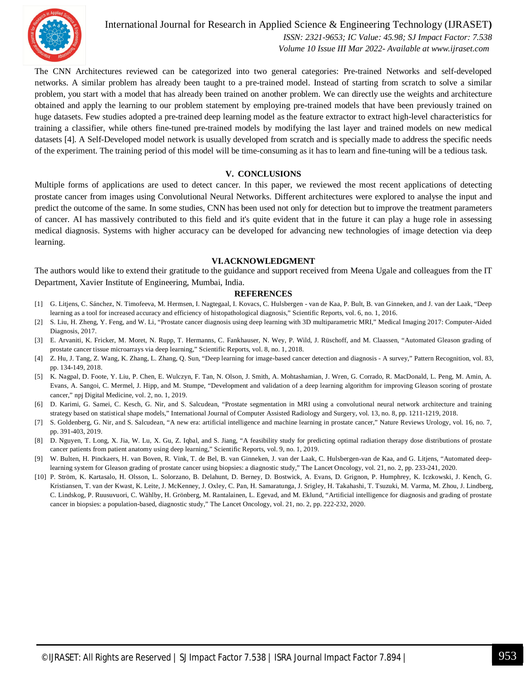

International Journal for Research in Applied Science & Engineering Technology (IJRASET**)**  *ISSN: 2321-9653; IC Value: 45.98; SJ Impact Factor: 7.538 Volume 10 Issue III Mar 2022- Available at www.ijraset.com*

The CNN Architectures reviewed can be categorized into two general categories: Pre-trained Networks and self-developed networks. A similar problem has already been taught to a pre-trained model. Instead of starting from scratch to solve a similar problem, you start with a model that has already been trained on another problem. We can directly use the weights and architecture obtained and apply the learning to our problem statement by employing pre-trained models that have been previously trained on huge datasets. Few studies adopted a pre-trained deep learning model as the feature extractor to extract high-level characteristics for training a classifier, while others fine-tuned pre-trained models by modifying the last layer and trained models on new medical datasets [4]. A Self-Developed model network is usually developed from scratch and is specially made to address the specific needs of the experiment. The training period of this model will be time-consuming as it has to learn and fine-tuning will be a tedious task.

#### **V. CONCLUSIONS**

Multiple forms of applications are used to detect cancer. In this paper, we reviewed the most recent applications of detecting prostate cancer from images using Convolutional Neural Networks. Different architectures were explored to analyse the input and predict the outcome of the same. In some studies, CNN has been used not only for detection but to improve the treatment parameters of cancer. AI has massively contributed to this field and it's quite evident that in the future it can play a huge role in assessing medical diagnosis. Systems with higher accuracy can be developed for advancing new technologies of image detection via deep learning.

#### **VI.ACKNOWLEDGMENT**

The authors would like to extend their gratitude to the guidance and support received from Meena Ugale and colleagues from the IT Department, Xavier Institute of Engineering, Mumbai, India.

#### **REFERENCES**

- [1] G. Litjens, C. Sánchez, N. Timofeeva, M. Hermsen, I. Nagtegaal, I. Kovacs, C. Hulsbergen van de Kaa, P. Bult, B. van Ginneken, and J. van der Laak, "Deep learning as a tool for increased accuracy and efficiency of histopathological diagnosis," Scientific Reports, vol. 6, no. 1, 2016.
- [2] S. Liu, H. Zheng, Y. Feng, and W. Li, "Prostate cancer diagnosis using deep learning with 3D multiparametric MRI," Medical Imaging 2017: Computer-Aided Diagnosis, 2017.
- [3] E. Arvaniti, K. Fricker, M. Moret, N. Rupp, T. Hermanns, C. Fankhauser, N. Wey, P. Wild, J. Rüschoff, and M. Claassen, "Automated Gleason grading of prostate cancer tissue microarrays via deep learning," Scientific Reports, vol. 8, no. 1, 2018.
- [4] Z. Hu, J. Tang, Z. Wang, K. Zhang, L. Zhang, Q. Sun, "Deep learning for image-based cancer detection and diagnosis A survey," Pattern Recognition, vol. 83, pp. 134-149, 2018.
- [5] K. Nagpal, D. Foote, Y. Liu, P. Chen, E. Wulczyn, F. Tan, N. Olson, J. Smith, A. Mohtashamian, J. Wren, G. Corrado, R. MacDonald, L. Peng, M. Amin, A. Evans, A. Sangoi, C. Mermel, J. Hipp, and M. Stumpe, "Development and validation of a deep learning algorithm for improving Gleason scoring of prostate cancer," npj Digital Medicine, vol. 2, no. 1, 2019.
- [6] D. Karimi, G. Samei, C. Kesch, G. Nir, and S. Salcudean, "Prostate segmentation in MRI using a convolutional neural network architecture and training strategy based on statistical shape models," International Journal of Computer Assisted Radiology and Surgery, vol. 13, no. 8, pp. 1211-1219, 2018.
- [7] S. Goldenberg, G. Nir, and S. Salcudean, "A new era: artificial intelligence and machine learning in prostate cancer," Nature Reviews Urology, vol. 16, no. 7, pp. 391-403, 2019.
- [8] D. Nguyen, T. Long, X. Jia, W. Lu, X. Gu, Z. Iqbal, and S. Jiang, "A feasibility study for predicting optimal radiation therapy dose distributions of prostate cancer patients from patient anatomy using deep learning," Scientific Reports, vol. 9, no. 1, 2019.
- [9] W. Bulten, H. Pinckaers, H. van Boven, R. Vink, T. de Bel, B. van Ginneken, J. van der Laak, C. Hulsbergen-van de Kaa, and G. Litjens, "Automated deeplearning system for Gleason grading of prostate cancer using biopsies: a diagnostic study," The Lancet Oncology, vol. 21, no. 2, pp. 233-241, 2020.
- [10] P. Ström, K. Kartasalo, H. Olsson, L. Solorzano, B. Delahunt, D. Berney, D. Bostwick, A. Evans, D. Grignon, P. Humphrey, K. Iczkowski, J. Kench, G. Kristiansen, T. van der Kwast, K. Leite, J. McKenney, J. Oxley, C. Pan, H. Samaratunga, J. Srigley, H. Takahashi, T. Tsuzuki, M. Varma, M. Zhou, J. Lindberg, C. Lindskog, P. Ruusuvuori, C. Wählby, H. Grönberg, M. Rantalainen, L. Egevad, and M. Eklund, "Artificial intelligence for diagnosis and grading of prostate cancer in biopsies: a population-based, diagnostic study," The Lancet Oncology, vol. 21, no. 2, pp. 222-232, 2020.